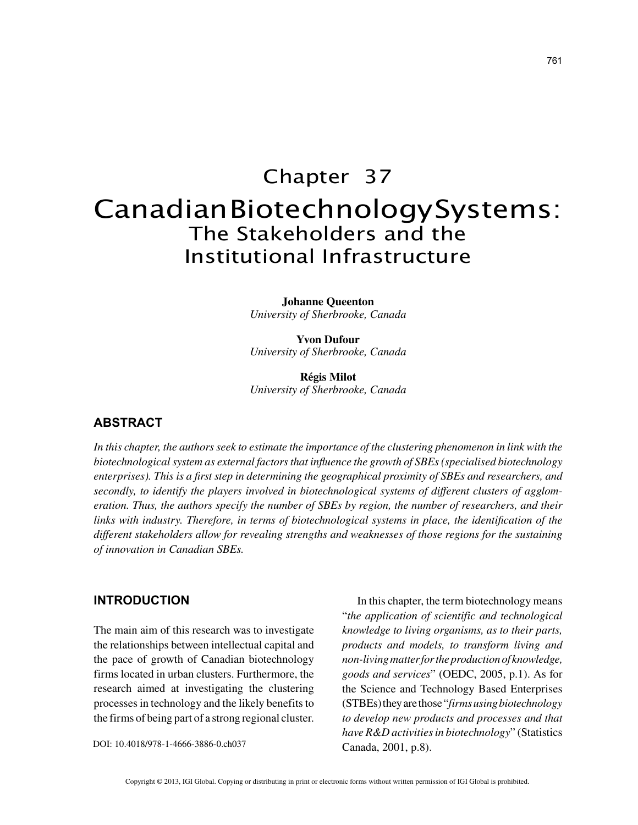# Chapter 37 Canadian Biotechnology Systems: The Stakeholders and the Institutional Infrastructure

**Johanne Queenton** *University of Sherbrooke, Canada*

**Yvon Dufour** *University of Sherbrooke, Canada*

**Régis Milot** *University of Sherbrooke, Canada*

## **ABSTRACT**

*In this chapter, the authors seek to estimate the importance of the clustering phenomenon in link with the biotechnological system as external factors that influence the growth of SBEs (specialised biotechnology enterprises). This is a first step in determining the geographical proximity of SBEs and researchers, and secondly, to identify the players involved in biotechnological systems of different clusters of agglomeration. Thus, the authors specify the number of SBEs by region, the number of researchers, and their links with industry. Therefore, in terms of biotechnological systems in place, the identification of the different stakeholders allow for revealing strengths and weaknesses of those regions for the sustaining of innovation in Canadian SBEs.*

## **INTRODUCTION**

The main aim of this research was to investigate the relationships between intellectual capital and the pace of growth of Canadian biotechnology firms located in urban clusters. Furthermore, the research aimed at investigating the clustering processes in technology and the likely benefits to the firms of being part of a strong regional cluster.

DOI: 10.4018/978-1-4666-3886-0.ch037

In this chapter, the term biotechnology means "*the application of scientific and technological knowledge to living organisms, as to their parts, products and models, to transform living and non-living matter for the production of knowledge, goods and services*" (OEDC, 2005, p.1). As for the Science and Technology Based Enterprises (STBEs) they are those "*firms using biotechnology to develop new products and processes and that have R&D activities in biotechnology*" (Statistics Canada, 2001, p.8).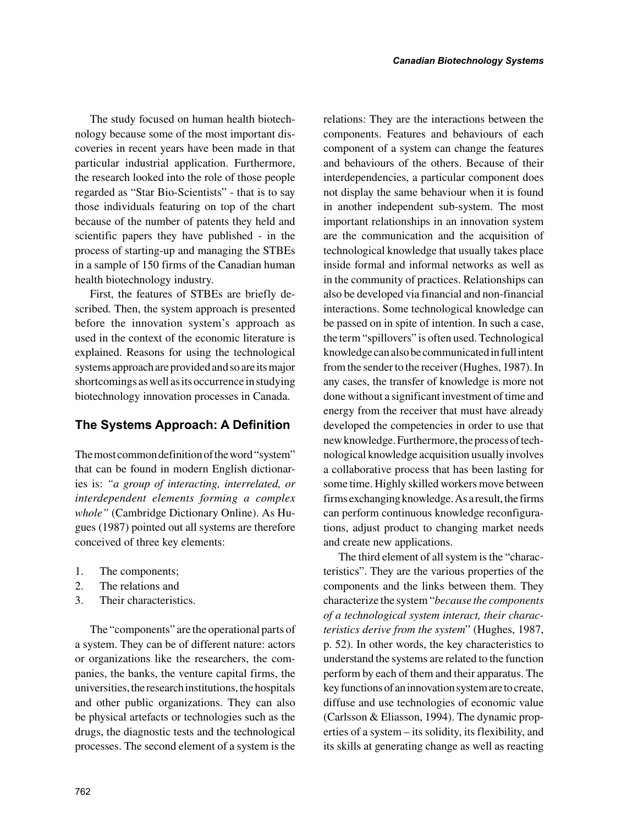The study focused on human health biotechnology because some of the most important discoveries in recent years have been made in that particular industrial application. Furthermore, the research looked into the role of those people regarded as "Star Bio-Scientists" - that is to say those individuals featuring on top of the chart because of the number of patents they held and scientific papers they have published - in the process of starting-up and managing the STBEs in a sample of 150 firms of the Canadian human health biotechnology industry.

First, the features of STBEs are briefly described. Then, the system approach is presented before the innovation system's approach as used in the context of the economic literature is explained. Reasons for using the technological systems approach are provided and so are its major shortcomings as well as its occurrence in studying biotechnology innovation processes in Canada.

# **The Systems Approach: A Definition**

The most common definition of the word "system" that can be found in modern English dictionaries is: *"a group of interacting, interrelated, or interdependent elements forming a complex whole"* (Cambridge Dictionary Online). As Hugues (1987) pointed out all systems are therefore conceived of three key elements:

- 1. The components;
- 2. The relations and
- 3. Their characteristics.

The "components" are the operational parts of a system. They can be of different nature: actors or organizations like the researchers, the companies, the banks, the venture capital firms, the universities, the research institutions, the hospitals and other public organizations. They can also be physical artefacts or technologies such as the drugs, the diagnostic tests and the technological processes. The second element of a system is the relations: They are the interactions between the components. Features and behaviours of each component of a system can change the features and behaviours of the others. Because of their interdependencies, a particular component does not display the same behaviour when it is found in another independent sub-system. The most important relationships in an innovation system are the communication and the acquisition of technological knowledge that usually takes place inside formal and informal networks as well as in the community of practices. Relationships can also be developed via financial and non-financial interactions. Some technological knowledge can be passed on in spite of intention. In such a case, the term "spillovers" is often used. Technological knowledge can also be communicated in full intent from the sender to the receiver (Hughes, 1987). In any cases, the transfer of knowledge is more not done without a significant investment of time and energy from the receiver that must have already developed the competencies in order to use that new knowledge. Furthermore, the process of technological knowledge acquisition usually involves a collaborative process that has been lasting for some time. Highly skilled workers move between firms exchanging knowledge. As a result, the firms can perform continuous knowledge reconfigurations, adjust product to changing market needs and create new applications.

The third element of all system is the "characteristics". They are the various properties of the components and the links between them. They characterize the system "*because the components of a technological system interact, their characteristics derive from the system*" (Hughes, 1987, p. 52). In other words, the key characteristics to understand the systems are related to the function perform by each of them and their apparatus. The key functions of an innovation system are to create, diffuse and use technologies of economic value (Carlsson & Eliasson, 1994). The dynamic properties of a system – its solidity, its flexibility, and its skills at generating change as well as reacting